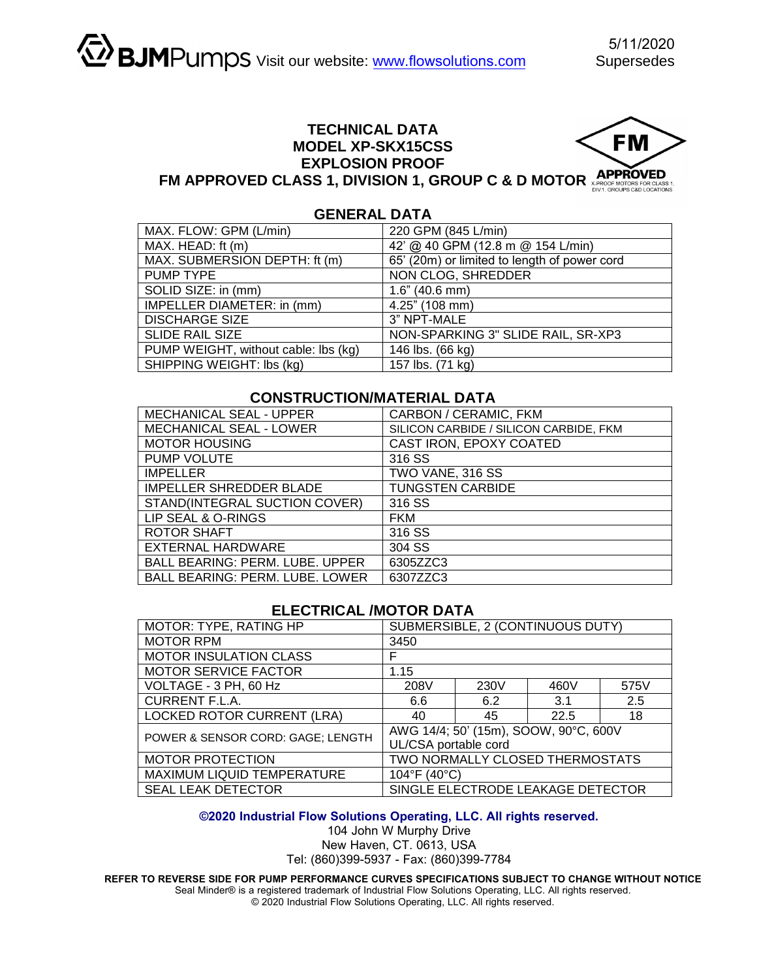# **TECHNICAL DATA MODEL XP-SKX15CSS EXPLOSION PROOF**



# **FM APPROVED CLASS 1, DIVISION 1, GROUP C & D MOTOR APPROVED**

# **GENERAL DATA**

| MAX. FLOW: GPM (L/min)               | 220 GPM (845 L/min)                          |  |  |
|--------------------------------------|----------------------------------------------|--|--|
| MAX. HEAD: ft (m)                    | 42' @ 40 GPM (12.8 m @ 154 L/min)            |  |  |
| MAX. SUBMERSION DEPTH: ft (m)        | 65' (20m) or limited to length of power cord |  |  |
| PUMP TYPE                            | NON CLOG, SHREDDER                           |  |  |
| SOLID SIZE: in (mm)                  | $1.6$ " (40.6 mm)                            |  |  |
| IMPELLER DIAMETER: in (mm)           | 4.25" (108 mm)                               |  |  |
| <b>DISCHARGE SIZE</b>                | 3" NPT-MALE                                  |  |  |
| <b>SLIDE RAIL SIZE</b>               | NON-SPARKING 3" SLIDE RAIL, SR-XP3           |  |  |
| PUMP WEIGHT, without cable: lbs (kg) | 146 lbs. (66 kg)                             |  |  |
| SHIPPING WEIGHT: Ibs (kg)            | 157 lbs. (71 kg)                             |  |  |

## **CONSTRUCTION/MATERIAL DATA**

| MECHANICAL SEAL - UPPER                | CARBON / CERAMIC, FKM                  |  |  |
|----------------------------------------|----------------------------------------|--|--|
| <b>MECHANICAL SEAL - LOWER</b>         | SILICON CARBIDE / SILICON CARBIDE, FKM |  |  |
| <b>MOTOR HOUSING</b>                   | CAST IRON, EPOXY COATED                |  |  |
| PUMP VOLUTE                            | 316 SS                                 |  |  |
| <b>IMPELLER</b>                        | TWO VANE, 316 SS                       |  |  |
| <b>IMPELLER SHREDDER BLADE</b>         | <b>TUNGSTEN CARBIDE</b>                |  |  |
| STAND(INTEGRAL SUCTION COVER)          | 316 SS                                 |  |  |
| LIP SEAL & O-RINGS                     | <b>FKM</b>                             |  |  |
| ROTOR SHAFT                            | 316 SS                                 |  |  |
| <b>EXTERNAL HARDWARE</b>               | 304 SS                                 |  |  |
| <b>BALL BEARING: PERM. LUBE. UPPER</b> | 6305ZZC3                               |  |  |
| <b>BALL BEARING: PERM. LUBE. LOWER</b> | 6307ZZC3                               |  |  |

### **ELECTRICAL /MOTOR DATA**

| MOTOR: TYPE, RATING HP            | SUBMERSIBLE, 2 (CONTINUOUS DUTY)                              |      |      |      |  |
|-----------------------------------|---------------------------------------------------------------|------|------|------|--|
| <b>MOTOR RPM</b>                  | 3450                                                          |      |      |      |  |
| <b>MOTOR INSULATION CLASS</b>     | F                                                             |      |      |      |  |
| <b>MOTOR SERVICE FACTOR</b>       | 1.15                                                          |      |      |      |  |
| VOLTAGE - 3 PH, 60 Hz             | 208V                                                          | 230V | 460V | 575V |  |
| <b>CURRENT F.L.A.</b>             | 6.6                                                           | 6.2  | 3.1  | 2.5  |  |
| <b>LOCKED ROTOR CURRENT (LRA)</b> | 40                                                            | 45   | 22.5 | 18   |  |
| POWER & SENSOR CORD: GAGE; LENGTH | AWG 14/4; 50' (15m), SOOW, 90°C, 600V<br>UL/CSA portable cord |      |      |      |  |
| <b>MOTOR PROTECTION</b>           | TWO NORMALLY CLOSED THERMOSTATS                               |      |      |      |  |
| MAXIMUM LIQUID TEMPERATURE        | 104°F (40°C)                                                  |      |      |      |  |
| <b>SEAL LEAK DETECTOR</b>         | SINGLE ELECTRODE LEAKAGE DETECTOR                             |      |      |      |  |

#### **©2020 Industrial Flow Solutions Operating, LLC. All rights reserved.**

104 John W Murphy Drive New Haven, CT. 0613, USA Tel: (860)399-5937 - Fax: (860)399-7784

**REFER TO REVERSE SIDE FOR PUMP PERFORMANCE CURVES SPECIFICATIONS SUBJECT TO CHANGE WITHOUT NOTICE** 

Seal Minder® is a registered trademark of Industrial Flow Solutions Operating, LLC. All rights reserved. © 2020 Industrial Flow Solutions Operating, LLC. All rights reserved.